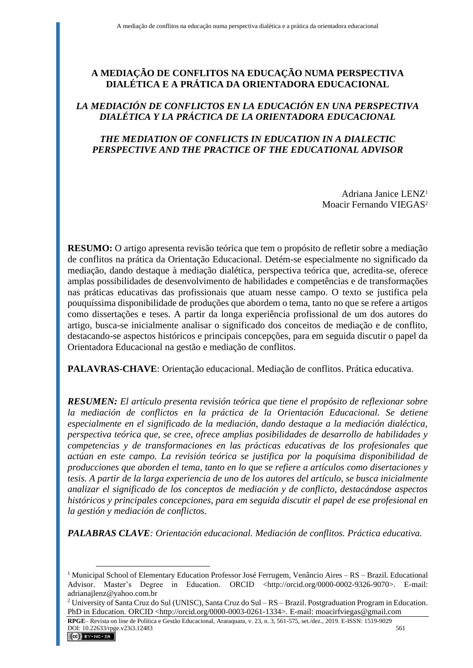# **A MEDIAÇÃO DE CONFLITOS NA EDUCAÇÃO NUMA PERSPECTIVA DIALÉTICA E A PRÁTICA DA ORIENTADORA EDUCACIONAL**

## *LA MEDIACIÓN DE CONFLICTOS EN LA EDUCACIÓN EN UNA PERSPECTIVA DIALÉTICA Y LA PRÁCTICA DE LA ORIENTADORA EDUCACIONAL*

## *THE MEDIATION OF CONFLICTS IN EDUCATION IN A DIALECTIC PERSPECTIVE AND THE PRACTICE OF THE EDUCATIONAL ADVISOR*

Adriana Janice LENZ<sup>1</sup> Moacir Fernando VIEGAS<sup>2</sup>

**RESUMO:** O artigo apresenta revisão teórica que tem o propósito de refletir sobre a mediação de conflitos na prática da Orientação Educacional. Detém-se especialmente no significado da mediação, dando destaque à mediação dialética, perspectiva teórica que, acredita-se, oferece amplas possibilidades de desenvolvimento de habilidades e competências e de transformações nas práticas educativas das profissionais que atuam nesse campo. O texto se justifica pela pouquíssima disponibilidade de produções que abordem o tema, tanto no que se refere a artigos como dissertações e teses. A partir da longa experiência profissional de um dos autores do artigo, busca-se inicialmente analisar o significado dos conceitos de mediação e de conflito, destacando-se aspectos históricos e principais concepções, para em seguida discutir o papel da Orientadora Educacional na gestão e mediação de conflitos.

**PALAVRAS-CHAVE**: Orientação educacional. Mediação de conflitos. Prática educativa.

*RESUMEN: El artículo presenta revisión teórica que tiene el propósito de reflexionar sobre la mediación de conflictos en la práctica de la Orientación Educacional. Se detiene especialmente en el significado de la mediación, dando destaque a la mediación dialéctica, perspectiva teórica que, se cree, ofrece amplias posibilidades de desarrollo de habilidades y competencias y de transformaciones en las prácticas educativas de los profesionales que actúan en este campo. La revisión teórica se justifica por la poquísima disponibilidad de producciones que aborden el tema, tanto en lo que se refiere a artículos como disertaciones y tesis. A partir de la larga experiencia de uno de los autores del artículo, se busca inicialmente analizar el significado de los conceptos de mediación y de conflicto, destacándose aspectos históricos y principales concepciones, para em seguida discutir el papel de ese profesional en la gestión y mediación de conflictos.*

*PALABRAS CLAVE: Orientación educacional. Mediación de conflitos. Práctica educativa.*

<sup>1</sup> Municipal School of Elementary Education Professor José Ferrugem, Venâncio Aires – RS – Brazil. Educational Advisor. Master's Degree in Education. ORCID <http://orcid.org/0000-0002-9326-9070>. E-mail: [adrianajlenz@yahoo.com.br](mailto:adrianajlenz@yahoo.com.br)

<sup>2</sup> University of Santa Cruz do Sul (UNISC), Santa Cruz do Sul – RS – Brazil. Postgraduation Program in Education. PhD in Education. ORCID <http://orcid.org/0000-0003-0261-1334>. E-mail: [moacirfviegas@gmail.com](mailto:moacirfviegas@gmail.com)

**RPGE**– Revista on line de Política e Gestão Educacional, Araraquara, v. 23, n. 3, 561-575, set./dez., 2019. E-ISSN: 1519-9029 DOI: 10.22633/rpge.v23i3.12483 561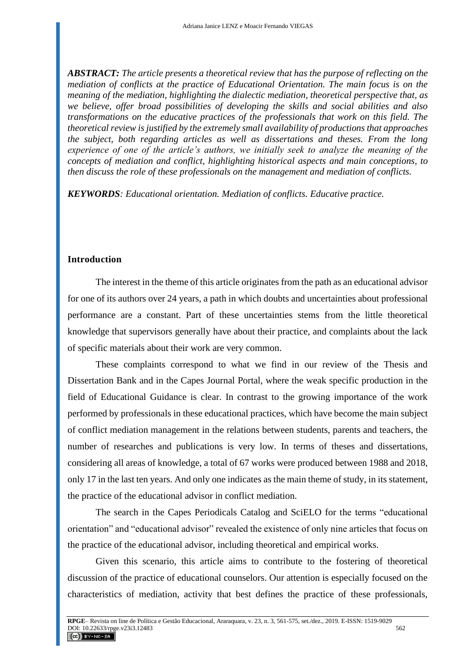*ABSTRACT: The article presents a theoretical review that has the purpose of reflecting on the mediation of conflicts at the practice of Educational Orientation. The main focus is on the meaning of the mediation, highlighting the dialectic mediation, theoretical perspective that, as we believe, offer broad possibilities of developing the skills and social abilities and also transformations on the educative practices of the professionals that work on this field. The theoretical review is justified by the extremely small availability of productions that approaches the subject, both regarding articles as well as dissertations and theses. From the long experience of one of the article's authors, we initially seek to analyze the meaning of the concepts of mediation and conflict, highlighting historical aspects and main conceptions, to then discuss the role of these professionals on the management and mediation of conflicts.*

*KEYWORDS: Educational orientation. Mediation of conflicts. Educative practice.*

### **Introduction**

The interest in the theme of this article originates from the path as an educational advisor for one of its authors over 24 years, a path in which doubts and uncertainties about professional performance are a constant. Part of these uncertainties stems from the little theoretical knowledge that supervisors generally have about their practice, and complaints about the lack of specific materials about their work are very common.

These complaints correspond to what we find in our review of the Thesis and Dissertation Bank and in the Capes Journal Portal, where the weak specific production in the field of Educational Guidance is clear. In contrast to the growing importance of the work performed by professionals in these educational practices, which have become the main subject of conflict mediation management in the relations between students, parents and teachers, the number of researches and publications is very low. In terms of theses and dissertations, considering all areas of knowledge, a total of 67 works were produced between 1988 and 2018, only 17 in the last ten years. And only one indicates as the main theme of study, in its statement, the practice of the educational advisor in conflict mediation.

The search in the Capes Periodicals Catalog and SciELO for the terms "educational orientation" and "educational advisor" revealed the existence of only nine articles that focus on the practice of the educational advisor, including theoretical and empirical works.

Given this scenario, this article aims to contribute to the fostering of theoretical discussion of the practice of educational counselors. Our attention is especially focused on the characteristics of mediation, activity that best defines the practice of these professionals,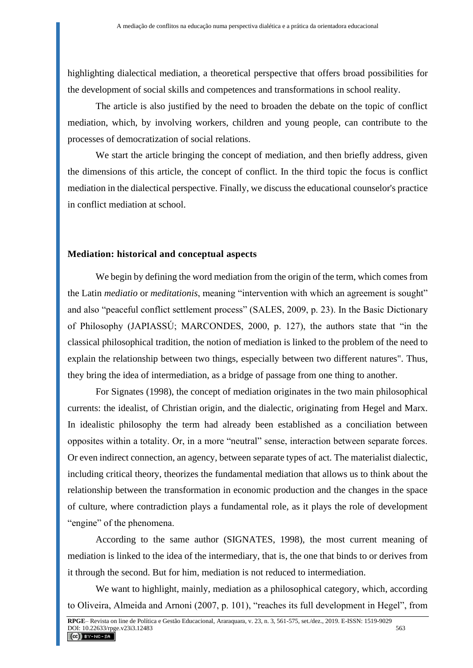highlighting dialectical mediation, a theoretical perspective that offers broad possibilities for the development of social skills and competences and transformations in school reality.

The article is also justified by the need to broaden the debate on the topic of conflict mediation, which, by involving workers, children and young people, can contribute to the processes of democratization of social relations.

We start the article bringing the concept of mediation, and then briefly address, given the dimensions of this article, the concept of conflict. In the third topic the focus is conflict mediation in the dialectical perspective. Finally, we discuss the educational counselor's practice in conflict mediation at school.

#### **Mediation: historical and conceptual aspects**

We begin by defining the word mediation from the origin of the term, which comes from the Latin *mediatio* or *meditationis*, meaning "intervention with which an agreement is sought" and also "peaceful conflict settlement process" (SALES, 2009, p. 23). In the Basic Dictionary of Philosophy (JAPIASSÚ; MARCONDES, 2000, p. 127), the authors state that "in the classical philosophical tradition, the notion of mediation is linked to the problem of the need to explain the relationship between two things, especially between two different natures". Thus, they bring the idea of intermediation, as a bridge of passage from one thing to another.

For Signates (1998), the concept of mediation originates in the two main philosophical currents: the idealist, of Christian origin, and the dialectic, originating from Hegel and Marx. In idealistic philosophy the term had already been established as a conciliation between opposites within a totality. Or, in a more "neutral" sense, interaction between separate forces. Or even indirect connection, an agency, between separate types of act. The materialist dialectic, including critical theory, theorizes the fundamental mediation that allows us to think about the relationship between the transformation in economic production and the changes in the space of culture, where contradiction plays a fundamental role, as it plays the role of development "engine" of the phenomena.

According to the same author (SIGNATES, 1998), the most current meaning of mediation is linked to the idea of the intermediary, that is, the one that binds to or derives from it through the second. But for him, mediation is not reduced to intermediation.

We want to highlight, mainly, mediation as a philosophical category, which, according to Oliveira, Almeida and Arnoni (2007, p. 101), "reaches its full development in Hegel", from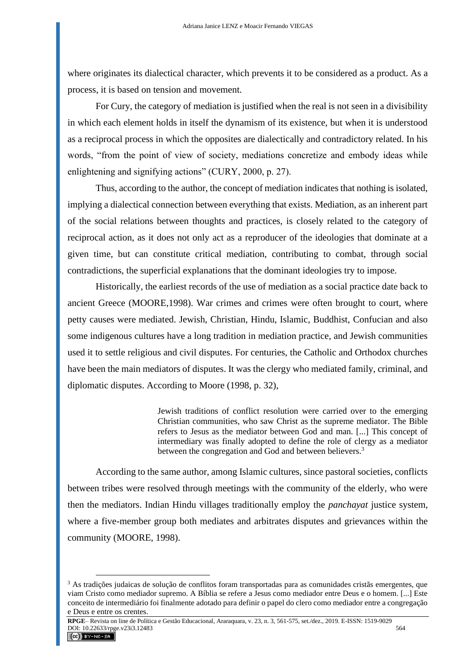where originates its dialectical character, which prevents it to be considered as a product. As a process, it is based on tension and movement.

For Cury, the category of mediation is justified when the real is not seen in a divisibility in which each element holds in itself the dynamism of its existence, but when it is understood as a reciprocal process in which the opposites are dialectically and contradictory related. In his words, "from the point of view of society, mediations concretize and embody ideas while enlightening and signifying actions" (CURY, 2000, p. 27).

Thus, according to the author, the concept of mediation indicates that nothing is isolated, implying a dialectical connection between everything that exists. Mediation, as an inherent part of the social relations between thoughts and practices, is closely related to the category of reciprocal action, as it does not only act as a reproducer of the ideologies that dominate at a given time, but can constitute critical mediation, contributing to combat, through social contradictions, the superficial explanations that the dominant ideologies try to impose.

Historically, the earliest records of the use of mediation as a social practice date back to ancient Greece (MOORE,1998). War crimes and crimes were often brought to court, where petty causes were mediated. Jewish, Christian, Hindu, Islamic, Buddhist, Confucian and also some indigenous cultures have a long tradition in mediation practice, and Jewish communities used it to settle religious and civil disputes. For centuries, the Catholic and Orthodox churches have been the main mediators of disputes. It was the clergy who mediated family, criminal, and diplomatic disputes. According to Moore (1998, p. 32),

> Jewish traditions of conflict resolution were carried over to the emerging Christian communities, who saw Christ as the supreme mediator. The Bible refers to Jesus as the mediator between God and man. [...] This concept of intermediary was finally adopted to define the role of clergy as a mediator between the congregation and God and between believers.<sup>3</sup>

According to the same author, among Islamic cultures, since pastoral societies, conflicts between tribes were resolved through meetings with the community of the elderly, who were then the mediators. Indian Hindu villages traditionally employ the *panchayat* justice system, where a five-member group both mediates and arbitrates disputes and grievances within the community (MOORE, 1998).

<sup>3</sup> As tradições judaicas de solução de conflitos foram transportadas para as comunidades cristãs emergentes, que viam Cristo como mediador supremo. A Bíblia se refere a Jesus como mediador entre Deus e o homem. [...] Este conceito de intermediário foi finalmente adotado para definir o papel do clero como mediador entre a congregação e Deus e entre os crentes.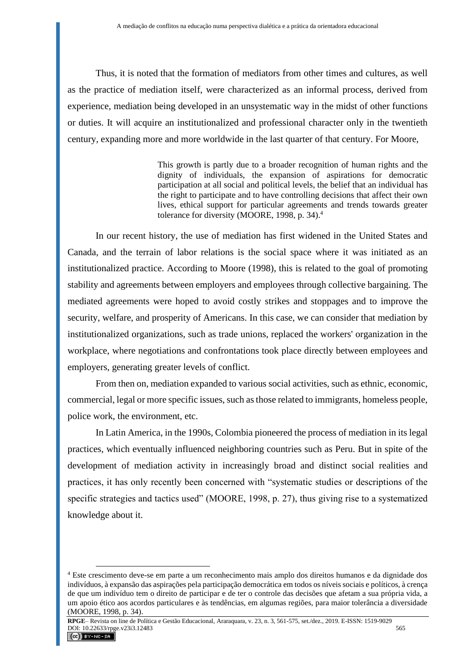Thus, it is noted that the formation of mediators from other times and cultures, as well as the practice of mediation itself, were characterized as an informal process, derived from experience, mediation being developed in an unsystematic way in the midst of other functions or duties. It will acquire an institutionalized and professional character only in the twentieth century, expanding more and more worldwide in the last quarter of that century. For Moore,

> This growth is partly due to a broader recognition of human rights and the dignity of individuals, the expansion of aspirations for democratic participation at all social and political levels, the belief that an individual has the right to participate and to have controlling decisions that affect their own lives, ethical support for particular agreements and trends towards greater tolerance for diversity (MOORE, 1998, p. 34).<sup>4</sup>

In our recent history, the use of mediation has first widened in the United States and Canada, and the terrain of labor relations is the social space where it was initiated as an institutionalized practice. According to Moore (1998), this is related to the goal of promoting stability and agreements between employers and employees through collective bargaining. The mediated agreements were hoped to avoid costly strikes and stoppages and to improve the security, welfare, and prosperity of Americans. In this case, we can consider that mediation by institutionalized organizations, such as trade unions, replaced the workers' organization in the workplace, where negotiations and confrontations took place directly between employees and employers, generating greater levels of conflict.

From then on, mediation expanded to various social activities, such as ethnic, economic, commercial, legal or more specific issues, such as those related to immigrants, homeless people, police work, the environment, etc.

In Latin America, in the 1990s, Colombia pioneered the process of mediation in its legal practices, which eventually influenced neighboring countries such as Peru. But in spite of the development of mediation activity in increasingly broad and distinct social realities and practices, it has only recently been concerned with "systematic studies or descriptions of the specific strategies and tactics used" (MOORE, 1998, p. 27), thus giving rise to a systematized knowledge about it.

<sup>4</sup> Este crescimento deve-se em parte a um reconhecimento mais amplo dos direitos humanos e da dignidade dos indivíduos, à expansão das aspirações pela participação democrática em todos os níveis sociais e políticos, à crença de que um indivíduo tem o direito de participar e de ter o controle das decisões que afetam a sua própria vida, a um apoio ético aos acordos particulares e às tendências, em algumas regiões, para maior tolerância a diversidade (MOORE, 1998, p. 34).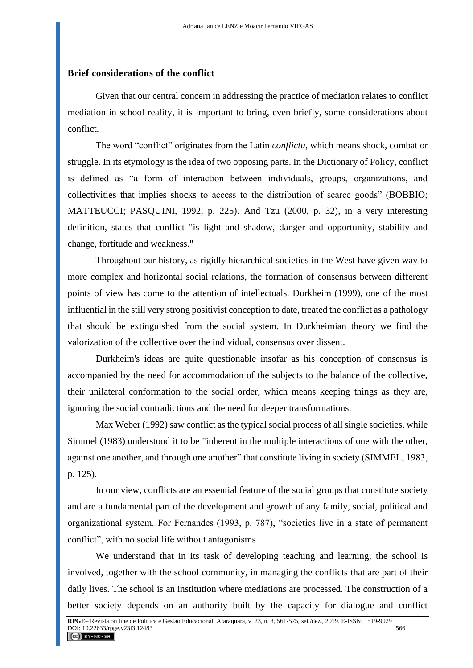#### **Brief considerations of the conflict**

Given that our central concern in addressing the practice of mediation relates to conflict mediation in school reality, it is important to bring, even briefly, some considerations about conflict.

The word "conflict" originates from the Latin *conflictu*, which means shock, combat or struggle. In its etymology is the idea of two opposing parts. In the Dictionary of Policy, conflict is defined as "a form of interaction between individuals, groups, organizations, and collectivities that implies shocks to access to the distribution of scarce goods" (BOBBIO; MATTEUCCI; PASQUINI, 1992, p. 225). And Tzu (2000, p. 32), in a very interesting definition, states that conflict "is light and shadow, danger and opportunity, stability and change, fortitude and weakness."

Throughout our history, as rigidly hierarchical societies in the West have given way to more complex and horizontal social relations, the formation of consensus between different points of view has come to the attention of intellectuals. Durkheim (1999), one of the most influential in the still very strong positivist conception to date, treated the conflict as a pathology that should be extinguished from the social system. In Durkheimian theory we find the valorization of the collective over the individual, consensus over dissent.

Durkheim's ideas are quite questionable insofar as his conception of consensus is accompanied by the need for accommodation of the subjects to the balance of the collective, their unilateral conformation to the social order, which means keeping things as they are, ignoring the social contradictions and the need for deeper transformations.

Max Weber (1992) saw conflict as the typical social process of all single societies, while Simmel (1983) understood it to be "inherent in the multiple interactions of one with the other, against one another, and through one another" that constitute living in society (SIMMEL, 1983, p. 125).

In our view, conflicts are an essential feature of the social groups that constitute society and are a fundamental part of the development and growth of any family, social, political and organizational system. For Fernandes (1993, p. 787), "societies live in a state of permanent conflict", with no social life without antagonisms.

We understand that in its task of developing teaching and learning, the school is involved, together with the school community, in managing the conflicts that are part of their daily lives. The school is an institution where mediations are processed. The construction of a better society depends on an authority built by the capacity for dialogue and conflict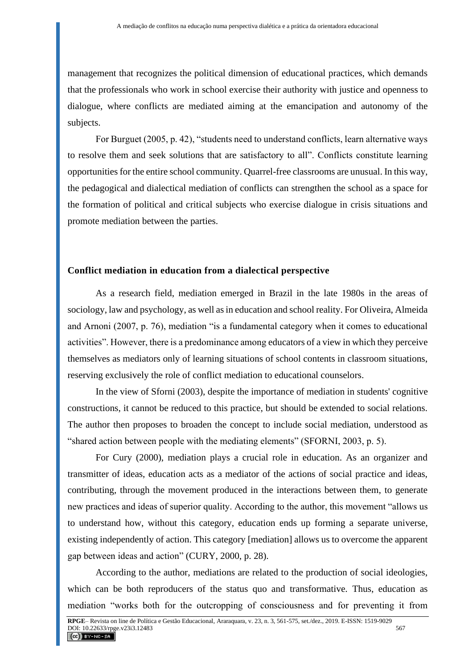management that recognizes the political dimension of educational practices, which demands that the professionals who work in school exercise their authority with justice and openness to dialogue, where conflicts are mediated aiming at the emancipation and autonomy of the subjects.

For Burguet (2005, p. 42), "students need to understand conflicts, learn alternative ways to resolve them and seek solutions that are satisfactory to all". Conflicts constitute learning opportunities for the entire school community. Quarrel-free classrooms are unusual. In this way, the pedagogical and dialectical mediation of conflicts can strengthen the school as a space for the formation of political and critical subjects who exercise dialogue in crisis situations and promote mediation between the parties.

#### **Conflict mediation in education from a dialectical perspective**

As a research field, mediation emerged in Brazil in the late 1980s in the areas of sociology, law and psychology, as well as in education and school reality. For Oliveira, Almeida and Arnoni (2007, p. 76), mediation "is a fundamental category when it comes to educational activities". However, there is a predominance among educators of a view in which they perceive themselves as mediators only of learning situations of school contents in classroom situations, reserving exclusively the role of conflict mediation to educational counselors.

In the view of Sforni (2003), despite the importance of mediation in students' cognitive constructions, it cannot be reduced to this practice, but should be extended to social relations. The author then proposes to broaden the concept to include social mediation, understood as "shared action between people with the mediating elements" (SFORNI, 2003, p. 5).

For Cury (2000), mediation plays a crucial role in education. As an organizer and transmitter of ideas, education acts as a mediator of the actions of social practice and ideas, contributing, through the movement produced in the interactions between them, to generate new practices and ideas of superior quality. According to the author, this movement "allows us to understand how, without this category, education ends up forming a separate universe, existing independently of action. This category [mediation] allows us to overcome the apparent gap between ideas and action" (CURY, 2000, p. 28).

According to the author, mediations are related to the production of social ideologies, which can be both reproducers of the status quo and transformative. Thus, education as mediation "works both for the outcropping of consciousness and for preventing it from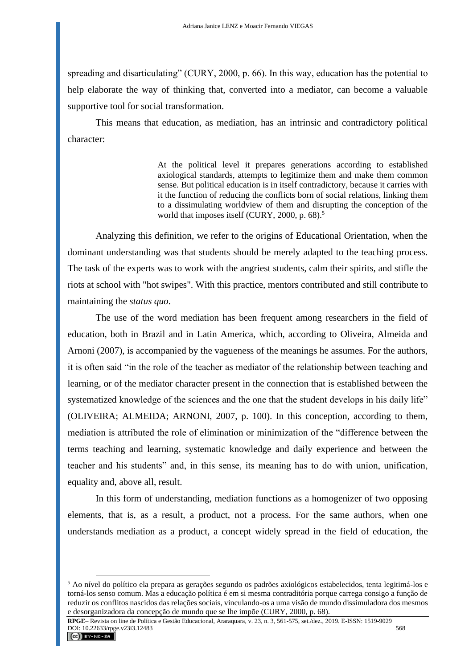spreading and disarticulating" (CURY, 2000, p. 66). In this way, education has the potential to help elaborate the way of thinking that, converted into a mediator, can become a valuable supportive tool for social transformation.

This means that education, as mediation, has an intrinsic and contradictory political character:

> At the political level it prepares generations according to established axiological standards, attempts to legitimize them and make them common sense. But political education is in itself contradictory, because it carries with it the function of reducing the conflicts born of social relations, linking them to a dissimulating worldview of them and disrupting the conception of the world that imposes itself (CURY, 2000, p. 68).<sup>5</sup>

Analyzing this definition, we refer to the origins of Educational Orientation, when the dominant understanding was that students should be merely adapted to the teaching process. The task of the experts was to work with the angriest students, calm their spirits, and stifle the riots at school with "hot swipes". With this practice, mentors contributed and still contribute to maintaining the *status quo*.

The use of the word mediation has been frequent among researchers in the field of education, both in Brazil and in Latin America, which, according to Oliveira, Almeida and Arnoni (2007), is accompanied by the vagueness of the meanings he assumes. For the authors, it is often said "in the role of the teacher as mediator of the relationship between teaching and learning, or of the mediator character present in the connection that is established between the systematized knowledge of the sciences and the one that the student develops in his daily life" (OLIVEIRA; ALMEIDA; ARNONI, 2007, p. 100). In this conception, according to them, mediation is attributed the role of elimination or minimization of the "difference between the terms teaching and learning, systematic knowledge and daily experience and between the teacher and his students" and, in this sense, its meaning has to do with union, unification, equality and, above all, result.

In this form of understanding, mediation functions as a homogenizer of two opposing elements, that is, as a result, a product, not a process. For the same authors, when one understands mediation as a product, a concept widely spread in the field of education, the

<sup>5</sup> Ao nível do político ela prepara as gerações segundo os padrões axiológicos estabelecidos, tenta legitimá-los e torná-los senso comum. Mas a educação política é em si mesma contraditória porque carrega consigo a função de reduzir os conflitos nascidos das relações sociais, vinculando-os a uma visão de mundo dissimuladora dos mesmos e desorganizadora da concepção de mundo que se lhe impõe (CURY, 2000, p. 68).

**RPGE**– Revista on line de Política e Gestão Educacional, Araraquara, v. 23, n. 3, 561-575, set./dez., 2019. E-ISSN: 1519-9029 DOI: 10.22633/rpge.v23i3.12483 568<br> **CC** BY-NG-SA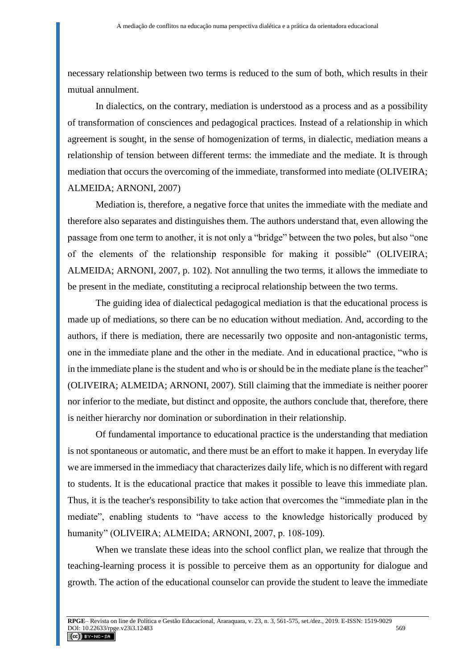necessary relationship between two terms is reduced to the sum of both, which results in their mutual annulment.

In dialectics, on the contrary, mediation is understood as a process and as a possibility of transformation of consciences and pedagogical practices. Instead of a relationship in which agreement is sought, in the sense of homogenization of terms, in dialectic, mediation means a relationship of tension between different terms: the immediate and the mediate. It is through mediation that occurs the overcoming of the immediate, transformed into mediate (OLIVEIRA; ALMEIDA; ARNONI, 2007)

Mediation is, therefore, a negative force that unites the immediate with the mediate and therefore also separates and distinguishes them. The authors understand that, even allowing the passage from one term to another, it is not only a "bridge" between the two poles, but also "one of the elements of the relationship responsible for making it possible" (OLIVEIRA; ALMEIDA; ARNONI, 2007, p. 102). Not annulling the two terms, it allows the immediate to be present in the mediate, constituting a reciprocal relationship between the two terms.

The guiding idea of dialectical pedagogical mediation is that the educational process is made up of mediations, so there can be no education without mediation. And, according to the authors, if there is mediation, there are necessarily two opposite and non-antagonistic terms, one in the immediate plane and the other in the mediate. And in educational practice, "who is in the immediate plane is the student and who is or should be in the mediate plane is the teacher" (OLIVEIRA; ALMEIDA; ARNONI, 2007). Still claiming that the immediate is neither poorer nor inferior to the mediate, but distinct and opposite, the authors conclude that, therefore, there is neither hierarchy nor domination or subordination in their relationship.

Of fundamental importance to educational practice is the understanding that mediation is not spontaneous or automatic, and there must be an effort to make it happen. In everyday life we are immersed in the immediacy that characterizes daily life, which is no different with regard to students. It is the educational practice that makes it possible to leave this immediate plan. Thus, it is the teacher's responsibility to take action that overcomes the "immediate plan in the mediate", enabling students to "have access to the knowledge historically produced by humanity" (OLIVEIRA; ALMEIDA; ARNONI, 2007, p. 108-109).

When we translate these ideas into the school conflict plan, we realize that through the teaching-learning process it is possible to perceive them as an opportunity for dialogue and growth. The action of the educational counselor can provide the student to leave the immediate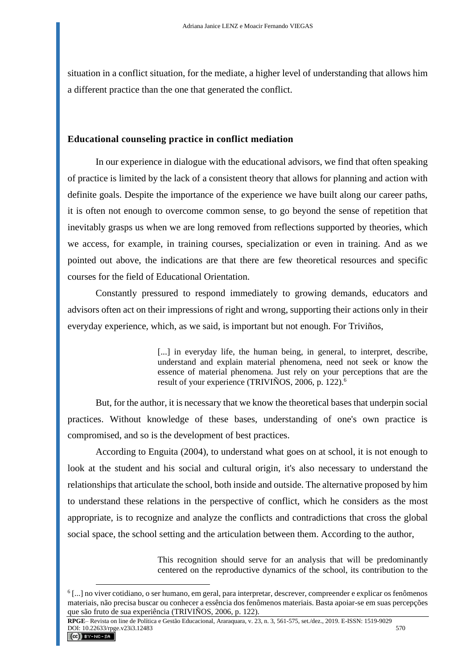situation in a conflict situation, for the mediate, a higher level of understanding that allows him a different practice than the one that generated the conflict.

### **Educational counseling practice in conflict mediation**

In our experience in dialogue with the educational advisors, we find that often speaking of practice is limited by the lack of a consistent theory that allows for planning and action with definite goals. Despite the importance of the experience we have built along our career paths, it is often not enough to overcome common sense, to go beyond the sense of repetition that inevitably grasps us when we are long removed from reflections supported by theories, which we access, for example, in training courses, specialization or even in training. And as we pointed out above, the indications are that there are few theoretical resources and specific courses for the field of Educational Orientation.

Constantly pressured to respond immediately to growing demands, educators and advisors often act on their impressions of right and wrong, supporting their actions only in their everyday experience, which, as we said, is important but not enough. For Triviños,

> [...] in everyday life, the human being, in general, to interpret, describe, understand and explain material phenomena, need not seek or know the essence of material phenomena. Just rely on your perceptions that are the result of your experience (TRIVIÑOS, 2006, p. 122).<sup>6</sup>

But, for the author, it is necessary that we know the theoretical bases that underpin social practices. Without knowledge of these bases, understanding of one's own practice is compromised, and so is the development of best practices.

According to Enguita (2004), to understand what goes on at school, it is not enough to look at the student and his social and cultural origin, it's also necessary to understand the relationships that articulate the school, both inside and outside. The alternative proposed by him to understand these relations in the perspective of conflict, which he considers as the most appropriate, is to recognize and analyze the conflicts and contradictions that cross the global social space, the school setting and the articulation between them. According to the author,

> This recognition should serve for an analysis that will be predominantly centered on the reproductive dynamics of the school, its contribution to the

<sup>6</sup> [...] no viver cotidiano, o ser humano, em geral, para interpretar, descrever, compreender e explicar os fenômenos materiais, não precisa buscar ou conhecer a essência dos fenômenos materiais. Basta apoiar-se em suas percepções que são fruto de sua experiência (TRIVIÑOS, 2006, p. 122).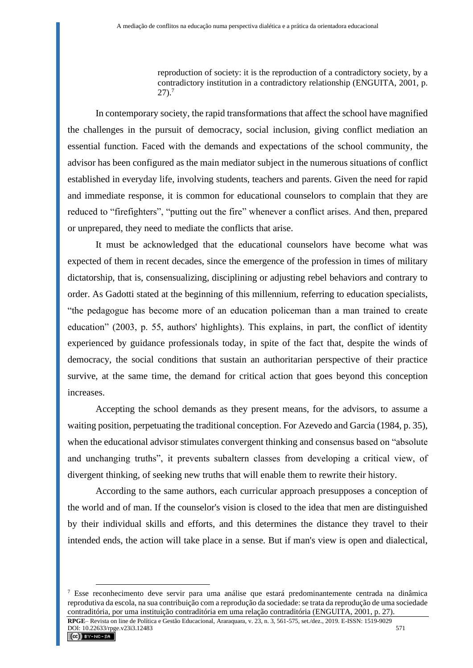reproduction of society: it is the reproduction of a contradictory society, by a contradictory institution in a contradictory relationship (ENGUITA, 2001, p.  $27$ ).<sup>7</sup>

In contemporary society, the rapid transformations that affect the school have magnified the challenges in the pursuit of democracy, social inclusion, giving conflict mediation an essential function. Faced with the demands and expectations of the school community, the advisor has been configured as the main mediator subject in the numerous situations of conflict established in everyday life, involving students, teachers and parents. Given the need for rapid and immediate response, it is common for educational counselors to complain that they are reduced to "firefighters", "putting out the fire" whenever a conflict arises. And then, prepared or unprepared, they need to mediate the conflicts that arise.

It must be acknowledged that the educational counselors have become what was expected of them in recent decades, since the emergence of the profession in times of military dictatorship, that is, consensualizing, disciplining or adjusting rebel behaviors and contrary to order. As Gadotti stated at the beginning of this millennium, referring to education specialists, "the pedagogue has become more of an education policeman than a man trained to create education" (2003, p. 55, authors' highlights). This explains, in part, the conflict of identity experienced by guidance professionals today, in spite of the fact that, despite the winds of democracy, the social conditions that sustain an authoritarian perspective of their practice survive, at the same time, the demand for critical action that goes beyond this conception increases.

Accepting the school demands as they present means, for the advisors, to assume a waiting position, perpetuating the traditional conception. For Azevedo and Garcia (1984, p. 35), when the educational advisor stimulates convergent thinking and consensus based on "absolute and unchanging truths", it prevents subaltern classes from developing a critical view, of divergent thinking, of seeking new truths that will enable them to rewrite their history.

According to the same authors, each curricular approach presupposes a conception of the world and of man. If the counselor's vision is closed to the idea that men are distinguished by their individual skills and efforts, and this determines the distance they travel to their intended ends, the action will take place in a sense. But if man's view is open and dialectical,

**RPGE**– Revista on line de Política e Gestão Educacional, Araraquara, v. 23, n. 3, 561-575, set./dez., 2019. E-ISSN: 1519-9029 DOI: 10.22633/rpge.v23i3.12483 571<br> **CC**) BY-NG-SA

<sup>7</sup> Esse reconhecimento deve servir para uma análise que estará predominantemente centrada na dinâmica reprodutiva da escola, na sua contribuição com a reprodução da sociedade: se trata da reprodução de uma sociedade contraditória, por uma instituição contraditória em uma relação contraditória (ENGUITA, 2001, p. 27).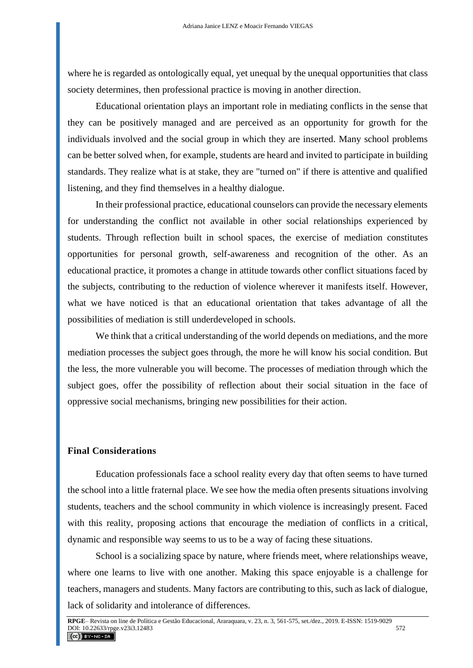where he is regarded as ontologically equal, yet unequal by the unequal opportunities that class society determines, then professional practice is moving in another direction.

Educational orientation plays an important role in mediating conflicts in the sense that they can be positively managed and are perceived as an opportunity for growth for the individuals involved and the social group in which they are inserted. Many school problems can be better solved when, for example, students are heard and invited to participate in building standards. They realize what is at stake, they are "turned on" if there is attentive and qualified listening, and they find themselves in a healthy dialogue.

In their professional practice, educational counselors can provide the necessary elements for understanding the conflict not available in other social relationships experienced by students. Through reflection built in school spaces, the exercise of mediation constitutes opportunities for personal growth, self-awareness and recognition of the other. As an educational practice, it promotes a change in attitude towards other conflict situations faced by the subjects, contributing to the reduction of violence wherever it manifests itself. However, what we have noticed is that an educational orientation that takes advantage of all the possibilities of mediation is still underdeveloped in schools.

We think that a critical understanding of the world depends on mediations, and the more mediation processes the subject goes through, the more he will know his social condition. But the less, the more vulnerable you will become. The processes of mediation through which the subject goes, offer the possibility of reflection about their social situation in the face of oppressive social mechanisms, bringing new possibilities for their action.

## **Final Considerations**

Education professionals face a school reality every day that often seems to have turned the school into a little fraternal place. We see how the media often presents situations involving students, teachers and the school community in which violence is increasingly present. Faced with this reality, proposing actions that encourage the mediation of conflicts in a critical, dynamic and responsible way seems to us to be a way of facing these situations.

School is a socializing space by nature, where friends meet, where relationships weave, where one learns to live with one another. Making this space enjoyable is a challenge for teachers, managers and students. Many factors are contributing to this, such as lack of dialogue, lack of solidarity and intolerance of differences.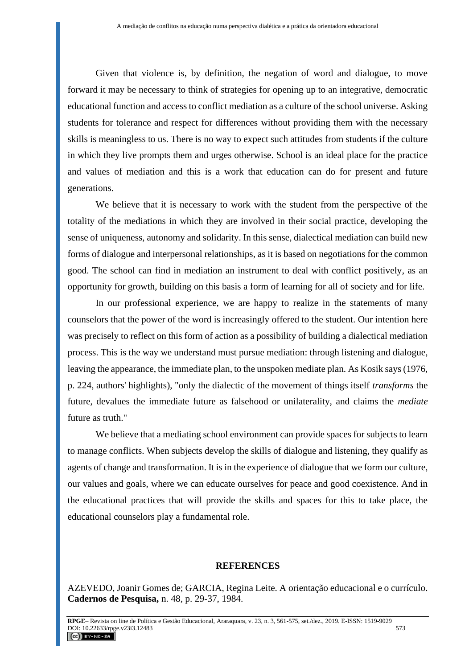Given that violence is, by definition, the negation of word and dialogue, to move forward it may be necessary to think of strategies for opening up to an integrative, democratic educational function and access to conflict mediation as a culture of the school universe. Asking students for tolerance and respect for differences without providing them with the necessary skills is meaningless to us. There is no way to expect such attitudes from students if the culture in which they live prompts them and urges otherwise. School is an ideal place for the practice and values of mediation and this is a work that education can do for present and future generations.

We believe that it is necessary to work with the student from the perspective of the totality of the mediations in which they are involved in their social practice, developing the sense of uniqueness, autonomy and solidarity. In this sense, dialectical mediation can build new forms of dialogue and interpersonal relationships, as it is based on negotiations for the common good. The school can find in mediation an instrument to deal with conflict positively, as an opportunity for growth, building on this basis a form of learning for all of society and for life.

In our professional experience, we are happy to realize in the statements of many counselors that the power of the word is increasingly offered to the student. Our intention here was precisely to reflect on this form of action as a possibility of building a dialectical mediation process. This is the way we understand must pursue mediation: through listening and dialogue, leaving the appearance, the immediate plan, to the unspoken mediate plan. As Kosik says (1976, p. 224, authors' highlights), "only the dialectic of the movement of things itself *transforms* the future, devalues the immediate future as falsehood or unilaterality, and claims the *mediate* future as truth."

We believe that a mediating school environment can provide spaces for subjects to learn to manage conflicts. When subjects develop the skills of dialogue and listening, they qualify as agents of change and transformation. It is in the experience of dialogue that we form our culture, our values and goals, where we can educate ourselves for peace and good coexistence. And in the educational practices that will provide the skills and spaces for this to take place, the educational counselors play a fundamental role.

#### **REFERENCES**

AZEVEDO, Joanir Gomes de; GARCIA, Regina Leite. A orientação educacional e o currículo. **Cadernos de Pesquisa,** n. 48, p. 29-37, 1984.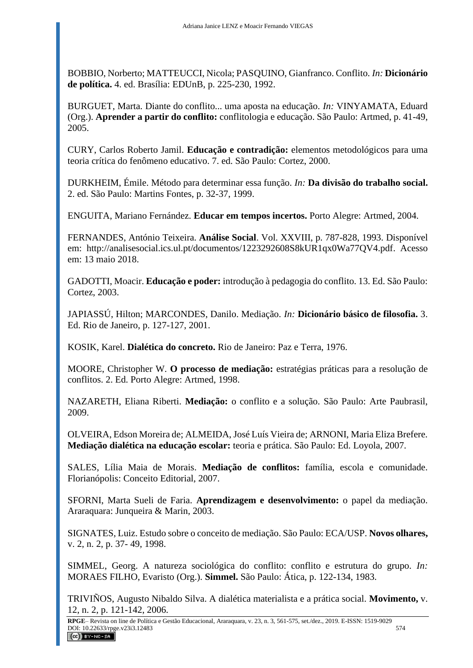BOBBIO, Norberto; MATTEUCCI, Nicola; PASQUINO, Gianfranco. Conflito. *In:* **Dicionário de política.** 4. ed. Brasília: EDUnB, p. 225-230, 1992.

BURGUET, Marta. Diante do conflito... uma aposta na educação. *In:* VINYAMATA, Eduard (Org.). **Aprender a partir do conflito:** conflitologia e educação. São Paulo: Artmed, p. 41-49, 2005.

CURY, Carlos Roberto Jamil. **Educação e contradição:** elementos metodológicos para uma teoria crítica do fenômeno educativo. 7. ed. São Paulo: Cortez, 2000.

DURKHEIM, Émile. Método para determinar essa função. *In:* **Da divisão do trabalho social.** 2. ed. São Paulo: Martins Fontes, p. 32-37, 1999.

ENGUITA, Mariano Fernández. **Educar em tempos incertos.** Porto Alegre: Artmed, 2004.

FERNANDES, António Teixeira. **Análise Social**. Vol. XXVIII, p. 787-828, 1993. Disponível em: http://analisesocial.ics.ul.pt/documentos/1223292608S8kUR1qx0Wa77QV4.pdf. Acesso em: 13 maio 2018.

GADOTTI, Moacir. **Educação e poder:** introdução à pedagogia do conflito. 13. Ed. São Paulo: Cortez, 2003.

JAPIASSÚ, Hilton; MARCONDES, Danilo. Mediação. *In:* **Dicionário básico de filosofia.** 3. Ed. Rio de Janeiro, p. 127-127, 2001.

KOSIK, Karel. **Dialética do concreto.** Rio de Janeiro: Paz e Terra, 1976.

MOORE, Christopher W. **O processo de mediação:** estratégias práticas para a resolução de conflitos. 2. Ed. Porto Alegre: Artmed, 1998.

NAZARETH, Eliana Riberti. **Mediação:** o conflito e a solução. São Paulo: Arte Paubrasil, 2009.

OLVEIRA, Edson Moreira de; ALMEIDA, José Luís Vieira de; ARNONI, Maria Eliza Brefere. **Mediação dialética na educação escolar:** teoria e prática. São Paulo: Ed. Loyola, 2007.

SALES, Lília Maia de Morais. **Mediação de conflitos:** família, escola e comunidade. Florianópolis: Conceito Editorial, 2007.

SFORNI, Marta Sueli de Faria. **Aprendizagem e desenvolvimento:** o papel da mediação. Araraquara: Junqueira & Marin, 2003.

SIGNATES, Luiz. Estudo sobre o conceito de mediação. São Paulo: ECA/USP. **Novos olhares,**  v. 2, n. 2, p. 37- 49, 1998.

SIMMEL, Georg. A natureza sociológica do conflito: conflito e estrutura do grupo*. In:* MORAES FILHO, Evaristo (Org.). **Simmel.** São Paulo: Ática, p. 122-134, 1983.

TRIVIÑOS, Augusto Nibaldo Silva. A dialética materialista e a prática social. **Movimento,** v. 12, n. 2, p. 121-142, 2006.